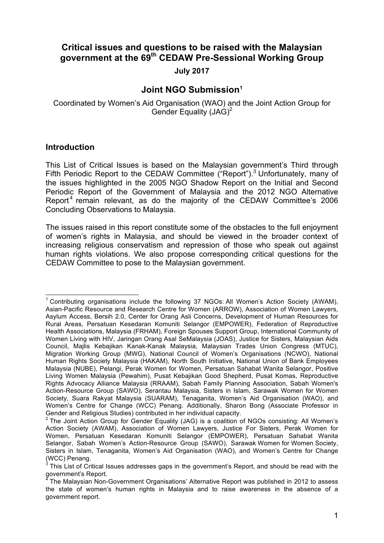# **Critical issues and questions to be raised with the Malaysian government at the 69th CEDAW Pre-Sessional Working Group**

**July 2017**

# **Joint NGO Submission**<sup>1</sup>

Coordinated by Women's Aid Organisation (WAO) and the Joint Action Group for Gender Equality (JAG)<sup>2</sup>

## **Introduction**

This List of Critical Issues is based on the Malaysian government's Third through Fifth Periodic Report to the CEDAW Committee ("Report").<sup>3</sup> Unfortunately, many of the issues highlighted in the 2005 NGO Shadow Report on the Initial and Second Periodic Report of the Government of Malaysia and the 2012 NGO Alternative Report<sup>4</sup> remain relevant, as do the majority of the CEDAW Committee's 2006 Concluding Observations to Malaysia.

The issues raised in this report constitute some of the obstacles to the full enjoyment of women's rights in Malaysia, and should be viewed in the broader context of increasing religious conservatism and repression of those who speak out against human rights violations. We also propose corresponding critical questions for the CEDAW Committee to pose to the Malaysian government.

 $1$  Contributing organisations include the following 37 NGOs: All Women's Action Society (AWAM), Asian-Pacific Resource and Research Centre for Women (ARROW), Association of Women Lawyers, Asylum Access, Bersih 2.0, Center for Orang Asli Concerns, Development of Human Resources for Rural Areas, Persatuan Kesedaran Komuniti Selangor (EMPOWER), Federation of Reproductive Health Associations, Malaysia (FRHAM), Foreign Spouses Support Group, International Community of Women Living with HIV, Jaringan Orang Asal SeMalaysia (JOAS), Justice for Sisters, Malaysian Aids Council, Majlis Kebajikan Kanak-Kanak Malaysia, Malaysian Trades Union Congress (MTUC), Migration Working Group (MWG), National Council of Women's Organisations (NCWO), National Human Rights Society Malaysia (HAKAM), North South Initiative, National Union of Bank Employees Malaysia (NUBE), Pelangi, Perak Women for Women, Persatuan Sahabat Wanita Selangor, Positive Living Women Malaysia (Pewahim), Pusat Kebajikan Good Shepherd, Pusat Komas, Reproductive Rights Advocacy Alliance Malaysia (RRAAM), Sabah Family Planning Association, Sabah Women's Action-Resource Group (SAWO), Serantau Malaysia, Sisters in Islam, Sarawak Women for Women Society, Suara Rakyat Malaysia (SUARAM), Tenaganita, Women's Aid Organisation (WAO), and Women's Centre for Change (WCC) Penang. Additionally, Sharon Bong (Associate Professor in Gender and Religious Studies) contributed in her individual capacity.

 $2$  The Joint Action Group for Gender Equality (JAG) is a coalition of NGOs consisting: All Women's Action Society (AWAM), Association of Women Lawyers, Justice For Sisters, Perak Women for Women, Persatuan Kesedaran Komuniti Selangor (EMPOWER), Persatuan Sahabat Wanita Selangor, Sabah Women's Action-Resource Group (SAWO), Sarawak Women for Women Society, Sisters in Islam, Tenaganita, Women's Aid Organisation (WAO), and Women's Centre for Change (WCC) Penang.

<sup>3</sup> This List of Critical Issues addresses gaps in the government's Report, and should be read with the government's Report.

<sup>4</sup> The Malaysian Non-Government Organisations' Alternative Report was published in 2012 to assess the state of women's human rights in Malaysia and to raise awareness in the absence of a government report.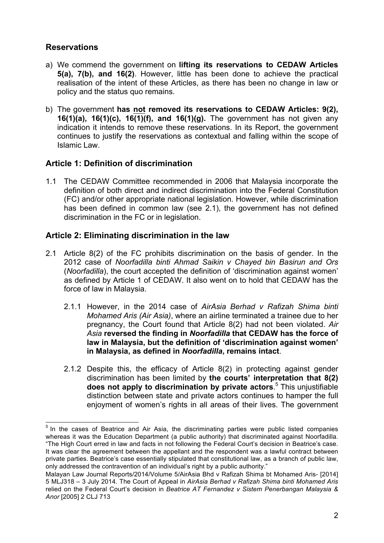# **Reservations**

- a) We commend the government on **lifting its reservations to CEDAW Articles 5(a), 7(b), and 16(2)**. However, little has been done to achieve the practical realisation of the intent of these Articles, as there has been no change in law or policy and the status quo remains.
- b) The government **has not removed its reservations to CEDAW Articles: 9(2), 16(1)(a), 16(1)(c), 16(1)(f), and 16(1)(g).** The government has not given any indication it intends to remove these reservations. In its Report, the government continues to justify the reservations as contextual and falling within the scope of Islamic Law.

# **Article 1: Definition of discrimination**

1.1 The CEDAW Committee recommended in 2006 that Malaysia incorporate the definition of both direct and indirect discrimination into the Federal Constitution (FC) and/or other appropriate national legislation. However, while discrimination has been defined in common law (see 2.1), the government has not defined discrimination in the FC or in legislation.

## **Article 2: Eliminating discrimination in the law**

- 2.1 Article 8(2) of the FC prohibits discrimination on the basis of gender. In the 2012 case of *Noorfadilla binti Ahmad Saikin v Chayed bin Basirun and Ors*  (*Noorfadilla*), the court accepted the definition of 'discrimination against women' as defined by Article 1 of CEDAW. It also went on to hold that CEDAW has the force of law in Malaysia.
	- 2.1.1 However, in the 2014 case of *AirAsia Berhad v Rafizah Shima binti Mohamed Aris (Air Asia)*, where an airline terminated a trainee due to her pregnancy, the Court found that Article 8(2) had not been violated. *Air Asia* **reversed the finding in** *Noorfadilla* **that CEDAW has the force of law in Malaysia, but the definition of 'discrimination against women' in Malaysia, as defined in** *Noorfadilla***, remains intact**.
	- 2.1.2 Despite this, the efficacy of Article 8(2) in protecting against gender discrimination has been limited by **the courts' interpretation that 8(2) does not apply to discrimination by private actors**. <sup>5</sup> This unjustifiable distinction between state and private actors continues to hamper the full enjoyment of women's rights in all areas of their lives. The government

 $5$  In the cases of Beatrice and Air Asia, the discriminating parties were public listed companies whereas it was the Education Department (a public authority) that discriminated against Noorfadilla. "The High Court erred in law and facts in not following the Federal Court's decision in Beatrice's case. It was clear the agreement between the appellant and the respondent was a lawful contract between private parties. Beatrice's case essentially stipulated that constitutional law, as a branch of public law, only addressed the contravention of an individual's right by a public authority."

Malayan Law Journal Reports/2014/Volume 5/AirAsia Bhd v Rafizah Shima bt Mohamed Aris- [2014] 5 MLJ318 – 3 July 2014. The Court of Appeal in *AirAsia Berhad v Rafizah Shima binti Mohamed Aris*  relied on the Federal Court's decision in *Beatrice AT Fernandez v Sistem Penerbangan Malaysia & Anor* [2005] 2 CLJ 713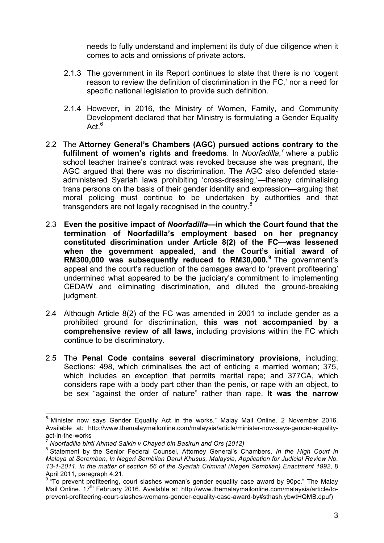needs to fully understand and implement its duty of due diligence when it comes to acts and omissions of private actors.

- 2.1.3 The government in its Report continues to state that there is no 'cogent reason to review the definition of discrimination in the FC,' nor a need for specific national legislation to provide such definition.
- 2.1.4 However, in 2016, the Ministry of Women, Family, and Community Development declared that her Ministry is formulating a Gender Equality Act  $6$
- 2.2 The **Attorney General's Chambers (AGC) pursued actions contrary to the fulfilment of women's rights and freedoms**. In *Noorfadilla*, <sup>7</sup> where a public school teacher trainee's contract was revoked because she was pregnant, the AGC argued that there was no discrimination. The AGC also defended stateadministered Syariah laws prohibiting 'cross-dressing,'—thereby criminalising trans persons on the basis of their gender identity and expression—arguing that moral policing must continue to be undertaken by authorities and that transgenders are not legally recognised in the country.<sup>8</sup>
- 2.3 **Even the positive impact of** *Noorfadilla***—in which the Court found that the termination of Noorfadilla's employment based on her pregnancy constituted discrimination under Article 8(2) of the FC—was lessened when the government appealed, and the Court's initial award of RM300,000 was subsequently reduced to RM30,000.<sup>9</sup>** The government's appeal and the court's reduction of the damages award to 'prevent profiteering' undermined what appeared to be the judiciary's commitment to implementing CEDAW and eliminating discrimination, and diluted the ground-breaking judgment.
- 2.4 Although Article 8(2) of the FC was amended in 2001 to include gender as a prohibited ground for discrimination, **this was not accompanied by a comprehensive review of all laws,** including provisions within the FC which continue to be discriminatory.
- 2.5 The **Penal Code contains several discriminatory provisions**, including: Sections: 498, which criminalises the act of enticing a married woman; 375, which includes an exception that permits marital rape; and 377CA, which considers rape with a body part other than the penis, or rape with an object, to be sex "against the order of nature" rather than rape. **It was the narrow**

 <sup>6</sup> "Minister now says Gender Equality Act in the works." Malay Mail Online. 2 November 2016. Available at: http://www.themalaymailonline.com/malaysia/article/minister-now-says-gender-equalityact-in-the-works

<sup>7</sup> *Noorfadilla binti Ahmad Saikin v Chayed bin Basirun and Ors (2012)*

<sup>8</sup> Statement by the Senior Federal Counsel, Attorney General's Chambers, *In the High Court in Malaya at Seremban, In Negeri Sembilan Darul Khusus, Malaysia, Application for Judicial Review No. 13-1-2011. In the matter of section 66 of the Syariah Criminal (Negeri Sembilan) Enactment 1992*, 8 April 2011, paragraph 4.21.

<sup>&</sup>lt;sup>9</sup> To prevent profiteering, court slashes woman's gender equality case award by 90pc." The Malay Mail Online. 17<sup>th</sup> February 2016. Available at: http://www.themalaymailonline.com/malaysia/article/toprevent-profiteering-court-slashes-womans-gender-equality-case-award-by#sthash.ybwtHQMB.dpuf)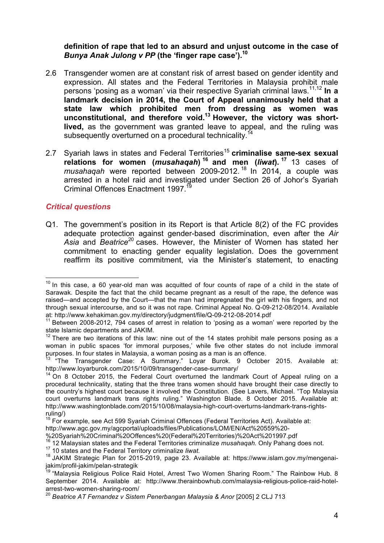**definition of rape that led to an absurd and unjust outcome in the case of**  *Bunya Anak Julong v PP* **(the 'finger rape case').10**

- 2.6 Transgender women are at constant risk of arrest based on gender identity and expression. All states and the Federal Territories in Malaysia prohibit male persons 'posing as a woman' via their respective Syariah criminal laws. 11,12 **In a landmark decision in 2014, the Court of Appeal unanimously held that a state law which prohibited men from dressing as women was unconstitutional, and therefore void.13 However, the victory was shortlived,** as the government was granted leave to appeal, and the ruling was subsequently overturned on a procedural technicality.<sup>14</sup>
- 2.7 Syariah laws in states and Federal Territories<sup>15</sup> criminalise same-sex sexual **relations for women (***musahaqah***) <sup>16</sup> and men (***liwat***). <sup>17</sup>** 13 cases of *musahaqah* were reported between 2009-2012. <sup>18</sup> In 2014, a couple was arrested in a hotel raid and investigated under Section 26 of Johor's Syariah Criminal Offences Enactment 1997<sup>1</sup>

#### *Critical questions*

Q1. The government's position in its Report is that Article 8(2) of the FC provides adequate protection against gender-based discrimination, even after the *Air Asia* and *Beatrice*<sup>20</sup> cases. However, the Minister of Women has stated her commitment to enacting gender equality legislation. Does the government reaffirm its positive commitment, via the Minister's statement, to enacting

<sup>&</sup>lt;sup>10</sup> In this case, a 60 year-old man was acquitted of four counts of rape of a child in the state of Sarawak. Despite the fact that the child became pregnant as a result of the rape, the defence was raised—and accepted by the Court—that the man had impregnated the girl with his fingers, and not through sexual intercourse, and so it was not rape. Criminal Appeal No. Q-09-212-08/2014. Available at: http://www.kehakiman.gov.my/directory/judgment/file/Q-09-212-08-2014.pdf<br><sup>11</sup> Between 2008-2012, 794 cases of arrest in relation to 'posing as a woman' were reported by the

state Islamic departments and JAKIM.

 $12$  There are two iterations of this law: nine out of the 14 states prohibit male persons posing as a woman in public spaces 'for immoral purposes,' while five other states do not include immoral purposes. In four states in Malaysia, a woman posing as a man is an offence.

<sup>&</sup>lt;sup>13</sup> "The Transgender Case: A Summary." Loyar Burok. 9 October 2015. Available at: http://www.loyarburok.com/2015/10/09/transgender-case-summary/

 $14$  On 8 October 2015, the Federal Court overturned the landmark Court of Appeal ruling on a procedural technicality, stating that the three trans women should have brought their case directly to the country's highest court because it involved the Constitution. (See Lavers, Michael. "Top Malaysia court overturns landmark trans rights ruling." Washington Blade. 8 October 2015. Available at: http://www.washingtonblade.com/2015/10/08/malaysia-high-court-overturns-landmark-trans-rightsruling/)

 $15$  For example, see Act 599 Syariah Criminal Offences (Federal Territories Act). Available at:

http://www.agc.gov.my/agcportal/uploads/files/Publications/LOM/EN/Act%20559%20-

<sup>%20</sup>Syariah%20Criminal%20Offences%20(Federal%20Territories)%20Act%201997.pdf

<sup>&</sup>lt;sup>16</sup> 12 Malaysian states and the Federal Territories criminalize *musahaqah*. Only Pahang does not.<br><sup>17</sup> 10 states and the Federal Territory criminalize *liwat*.<br><sup>18</sup> JAKIM Strategic Plan for 2015-2019, page 23. Available jakim/profil-jakim/pelan-strategik

<sup>&</sup>lt;sup>19</sup> "Malaysia Religious Police Raid Hotel, Arrest Two Women Sharing Room." The Rainbow Hub. 8 September 2014. Available at: http://www.therainbowhub.com/malaysia-religious-police-raid-hotelarrest-two-women-sharing-room/

<sup>&</sup>lt;sup>20</sup> Beatrice AT Fernandez v Sistem Penerbangan Malaysia & Anor [2005] 2 CLJ 713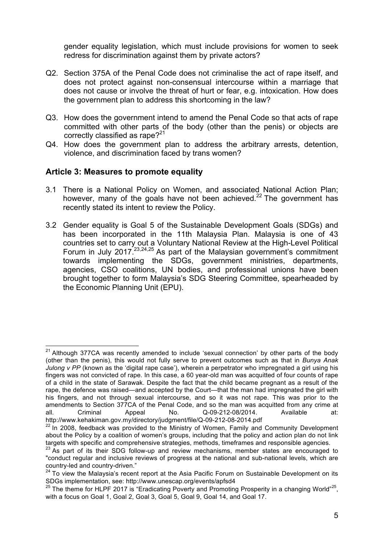gender equality legislation, which must include provisions for women to seek redress for discrimination against them by private actors?

- Q2. Section 375A of the Penal Code does not criminalise the act of rape itself, and does not protect against non-consensual intercourse within a marriage that does not cause or involve the threat of hurt or fear, e.g. intoxication. How does the government plan to address this shortcoming in the law?
- Q3. How does the government intend to amend the Penal Code so that acts of rape committed with other parts of the body (other than the penis) or objects are correctly classified as rape? $2^{21}$
- Q4. How does the government plan to address the arbitrary arrests, detention, violence, and discrimination faced by trans women?

## **Article 3: Measures to promote equality**

- 3.1 There is a National Policy on Women, and associated National Action Plan; however, many of the goals have not been achieved.<sup>22</sup> The government has recently stated its intent to review the Policy.
- 3.2 Gender equality is Goal 5 of the Sustainable Development Goals (SDGs) and has been incorporated in the 11th Malaysia Plan. Malaysia is one of 43 countries set to carry out a Voluntary National Review at the High-Level Political Forum in July 2017.<sup>23,24,25</sup> As part of the Malaysian government's commitment towards implementing the SDGs, government ministries, departments, agencies, CSO coalitions, UN bodies, and professional unions have been brought together to form Malaysia's SDG Steering Committee, spearheaded by the Economic Planning Unit (EPU).

 $21$  Although 377CA was recently amended to include 'sexual connection' by other parts of the body (other than the penis), this would not fully serve to prevent outcomes such as that in *Bunya Anak Julong v PP* (known as the 'digital rape case'), wherein a perpetrator who impregnated a girl using his fingers was not convicted of rape. In this case, a 60 year-old man was acquitted of four counts of rape of a child in the state of Sarawak. Despite the fact that the child became pregnant as a result of the rape, the defence was raised—and accepted by the Court—that the man had impregnated the girl with his fingers, and not through sexual intercourse, and so it was not rape. This was prior to the amendments to Section 377CA of the Penal Code, and so the man was acquitted from any crime at all. Criminal Appeal No. Q-09-212-08/2014. Available at: http://www.kehakiman.gov.my/directory/judgment/file/Q-09-212-08-2014.pdf<br><sup>22</sup> In 2008, feedback was provided to the Ministry of Women, Family and Community Development

about the Policy by a coalition of women's groups, including that the policy and action plan do not link targets with specific and comprehensive strategies, methods, timeframes and responsible agencies.

 $23$  As part of its their SDG follow-up and review mechanisms, member states are encouraged to "conduct regular and inclusive reviews of progress at the national and sub-national levels, which are country-led and country-driven."

 $24$  To view the Malaysia's recent report at the Asia Pacific Forum on Sustainable Development on its SDGs implementation, see: http://www.unescap.org/events/apfsd4

 $25$  The theme for HLPF 2017 is "Eradicating Poverty and Promoting Prosperity in a changing World"<sup>25</sup>, with a focus on Goal 1, Goal 2, Goal 3, Goal 5, Goal 9, Goal 14, and Goal 17.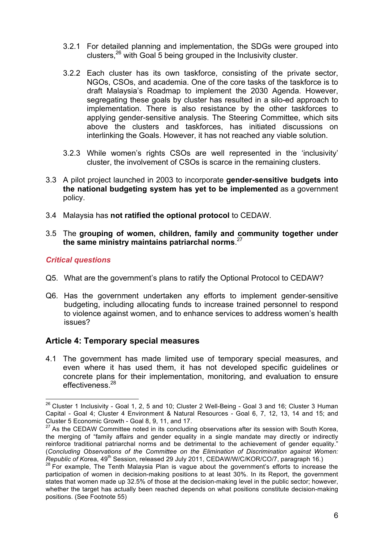- 3.2.1 For detailed planning and implementation, the SDGs were grouped into clusters,26 with Goal 5 being grouped in the Inclusivity cluster.
- 3.2.2 Each cluster has its own taskforce, consisting of the private sector, NGOs, CSOs, and academia. One of the core tasks of the taskforce is to draft Malaysia's Roadmap to implement the 2030 Agenda. However, segregating these goals by cluster has resulted in a silo-ed approach to implementation. There is also resistance by the other taskforces to applying gender-sensitive analysis. The Steering Committee, which sits above the clusters and taskforces, has initiated discussions on interlinking the Goals. However, it has not reached any viable solution.
- 3.2.3 While women's rights CSOs are well represented in the 'inclusivity' cluster, the involvement of CSOs is scarce in the remaining clusters.
- 3.3 A pilot project launched in 2003 to incorporate **gender-sensitive budgets into the national budgeting system has yet to be implemented** as a government policy.
- 3.4 Malaysia has **not ratified the optional protocol** to CEDAW.
- 3.5 The **grouping of women, children, family and community together under the same ministry maintains patriarchal norms**. 27

#### *Critical questions*

- Q5. What are the government's plans to ratify the Optional Protocol to CEDAW?
- Q6. Has the government undertaken any efforts to implement gender-sensitive budgeting, including allocating funds to increase trained personnel to respond to violence against women, and to enhance services to address women's health issues?

## **Article 4: Temporary special measures**

4.1 The government has made limited use of temporary special measures, and even where it has used them, it has not developed specific guidelines or concrete plans for their implementation, monitoring, and evaluation to ensure effectiveness<sup>28</sup>

 $26$  Cluster 1 Inclusivity - Goal 1, 2, 5 and 10; Cluster 2 Well-Being - Goal 3 and 16; Cluster 3 Human Capital - Goal 4; Cluster 4 Environment & Natural Resources - Goal 6, 7, 12, 13, 14 and 15; and Cluster 5 Economic Growth - Goal 8, 9, 11, and 17.

 $27$  As the CEDAW Committee noted in its concluding observations after its session with South Korea, the merging of "family affairs and gender equality in a single mandate may directly or indirectly reinforce traditional patriarchal norms and be detrimental to the achievement of gender equality." (*Concluding Observations of the Committee on the Elimination of Discrimination against Women: Republic of Korea, 49<sup>th</sup> Session, released 29 July 2011, CEDAW/W/C/KOR/CO/7, paragraph 16.)* 

 $28$  For example, The Tenth Malaysia Plan is vague about the government's efforts to increase the participation of women in decision-making positions to at least 30%. In its Report, the government states that women made up 32.5% of those at the decision-making level in the public sector; however, whether the target has actually been reached depends on what positions constitute decision-making positions. (See Footnote 55)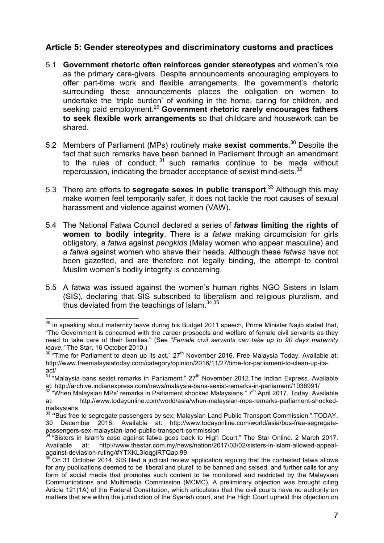## **Article 5: Gender stereotypes and discriminatory customs and practices**

- 5.1 **Government rhetoric often reinforces gender stereotypes** and women's role as the primary care-givers. Despite announcements encouraging employers to offer part-time work and flexible arrangements, the government's rhetoric surrounding these announcements places the obligation on women to undertake the 'triple burden' of working in the home, caring for children, and seeking paid employment.<sup>29</sup> **Government rhetoric rarely encourages fathers to seek flexible work arrangements** so that childcare and housework can be shared.
- 5.2 Members of Parliament (MPs) routinely make **sexist comments**. <sup>30</sup> Despite the fact that such remarks have been banned in Parliament through an amendment to the rules of conduct,  $31$  such remarks continue to be made without repercussion, indicating the broader acceptance of sexist mind-sets. $32$
- 5.3 There are efforts to **segregate sexes in public transport**. <sup>33</sup> Although this may make women feel temporarily safer, it does not tackle the root causes of sexual harassment and violence against women (VAW).
- 5.4 The National Fatwa Council declared a series of *fatwas* **limiting the rights of women to bodily integrity**. There is a *fatwa* making circumcision for girls obligatory, a *fatwa* against *pengkids* (Malay women who appear masculine) and a *fatwa* against women who shave their heads. Although these *fatwas* have not been gazetted, and are therefore not legally binding, the attempt to control Muslim women's bodily integrity is concerning.
- 5.5 A fatwa was issued against the women's human rights NGO Sisters in Islam (SIS), declaring that SIS subscribed to liberalism and religious pluralism, and thus deviated from the teachings of Islam. $34,35$

<sup>&</sup>lt;sup>29</sup> In speaking about maternity leave during his Budget 2011 speech, Prime Minister Najib stated that, "The Government is concerned with the career prospects and welfare of female civil servants as they need to take care of their families." (See *"Female civil servants can take up to 90 days maternity leave,"* The Star, 16 October 2010.)

 $30$  "Time for Parliament to clean up its act." 27<sup>th</sup> November 2016. Free Malaysia Today. Available at: http://www.freemalaysiatoday.com/category/opinion/2016/11/27/time-for-parliament-to-clean-up-itsact/

 $31$  "Malaysia bans sexist remarks in Parliament."  $27<sup>th</sup>$  November 2012. The Indian Express. Available at: http://archive.indianexpress.com/news/malaysia-bans-sexist-remarks-in-parliament/1036991/<br><sup>32</sup> "When Malaysian MPs' remarks in Parliament shocked Malaysians." 7<sup>th</sup> April 2017. Today. Available

at: http://www.todayonline.com/world/asia/when-malaysian-mps-remarks-parliament-shockedmalaysians

**<sup>33</sup> "**Bus free to segregate passengers by sex: Malaysian Land Public Transport Commission." TODAY. 30 December 2016. Available at: http://www.todayonline.com/world/asia/bus-free-segregatepassengers-sex-malaysian-land-public-transport-commission

<sup>&</sup>lt;sup>34</sup> "Sisters in Islam's case against fatwa goes back to High Court." The Star Online. 2 March 2017. Available at: http://www.thestar.com.my/news/nation/2017/03/02/sisters-in-islam-allowed-appeal-<br>against-deviasion-ruling/#YTXKL3loqgiRTQap.99

On 31 October 2014, SIS filed a judicial review application arguing that the contested fatwa allows for any publications deemed to be 'liberal and plural' to be banned and seised, and further calls for any form of social media that promotes such content to be monitored and restricted by the Malaysian Communications and Multimedia Commission (MCMC). A preliminary objection was brought citing Article 121(1A) of the Federal Constitution, which articulates that the civil courts have no authority on matters that are within the jurisdiction of the Syariah court, and the High Court upheld this objection on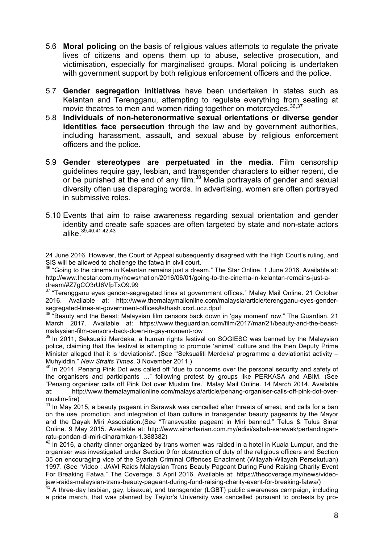- 5.6 **Moral policing** on the basis of religious values attempts to regulate the private lives of citizens and opens them up to abuse, selective prosecution, and victimisation, especially for marginalised groups. Moral policing is undertaken with government support by both religious enforcement officers and the police.
- 5.7 **Gender segregation initiatives** have been undertaken in states such as Kelantan and Terengganu, attempting to regulate everything from seating at movie theatres to men and women riding together on motorcycles.<sup>36,37</sup>
- 5.8 **Individuals of non-heteronormative sexual orientations or diverse gender identities face persecution** through the law and by government authorities, including harassment, assault, and sexual abuse by religious enforcement officers and the police.
- 5.9 **Gender stereotypes are perpetuated in the media.** Film censorship guidelines require gay, lesbian, and transgender characters to either repent, die or be punished at the end of any film.<sup>38</sup> Media portrayals of gender and sexual diversity often use disparaging words. In advertising, women are often portrayed in submissive roles.
- 5.10 Events that aim to raise awareness regarding sexual orientation and gender identity and create safe spaces are often targeted by state and non-state actors alike.<sup>39,40,41,42,43</sup>

<sup>37</sup> "Terengganu eyes gender-segregated lines at government offices." Malay Mail Online. 21 October 2016. Available at: http://www.themalaymailonline.com/malaysia/article/terengganu-eyes-gendersegregated-lines-at-government-offices#sthash.xrxrLucz.dpuf

<sup>38</sup> "Beauty and the Beast: Malaysian film censors back down in 'gay moment' row." The Guardian. 21 March 2017. Available at: https://www.theguardian.com/film/2017/mar/21/beauty-and-the-beastmalaysian-film-censors-back-down-in-gay-moment-row

 $39$  In 2011. Seksualiti Merdeka, a human rights festival on SOGIESC was banned by the Malaysian police, claiming that the festival is attempting to promote 'animal' culture and the then Deputy Prime Minister alleged that it is 'deviationist'. (See "'Seksualiti Merdeka' programme a deviationist activity -Muhyiddin." *New Straits Times*, 3 November 2011.)

 $40$  In 2014, Penang Pink Dot was called off "due to concerns over the personal security and safety of the organisers and participants …" following protest by groups like PERKASA and ABIM. (See "Penang organiser calls off Pink Dot over Muslim fire." Malay Mail Online. 14 March 2014. Available at: http://www.themalaymailonline.com/malaysia/article/penang-organiser-calls-off-pink-dot-overmuslim-fire)

 $41$  In May 2015, a beauty pageant in Sarawak was cancelled after threats of arrest, and calls for a ban on the use, promotion, and integration of Iban culture in transgender beauty pageants by the Mayor and the Dayak Miri Association.(See "Transvestite pageant in Miri banned." Telus & Tulus Sinar Online. 9 May 2015. Available at: http://www.sinarharian.com.my/edisi/sabah-sarawak/pertandinganratu-pondan-di-miri-diharamkan-1.388382)

 $42$  In 2016, a charity dinner organized by trans women was raided in a hotel in Kuala Lumpur, and the organiser was investigated under Section 9 for obstruction of duty of the religious officers and Section 35 on encouraging vice of the Syariah Criminal Offences Enactment (Wilayah-Wilayah Persekutuan) 1997. (See "Video : JAWI Raids Malaysian Trans Beauty Pageant During Fund Raising Charity Event For Breaking Fatwa." The Coverage. 5 April 2016. Available at: https://thecoverage.my/news/videojawi-raids-malaysian-trans-beauty-pageant-during-fund-raising-charity-event-for-breaking-fatwa/)

<sup>43</sup> A three-day lesbian, gay, bisexual, and transgender (LGBT) public awareness campaign, including a pride march, that was planned by Taylor's University was cancelled pursuant to protests by pro-

<sup>&</sup>lt;u> 1989 - Andrea Barbara, amerikan personal dan personal dan personal dan personal dan personal dan personal da</u> 24 June 2016. However, the Court of Appeal subsequently disagreed with the High Court's ruling, and SIS will be allowed to challenge the fatwa in civil court.

<sup>&</sup>lt;sup>36</sup> "Going to the cinema in Kelantan remains just a dream." The Star Online. 1 June 2016. Available at: http://www.thestar.com.my/news/nation/2016/06/01/going-to-the-cinema-in-kelantan-remains-just-adream/#Z7gCO3rU6VfpTxO9.99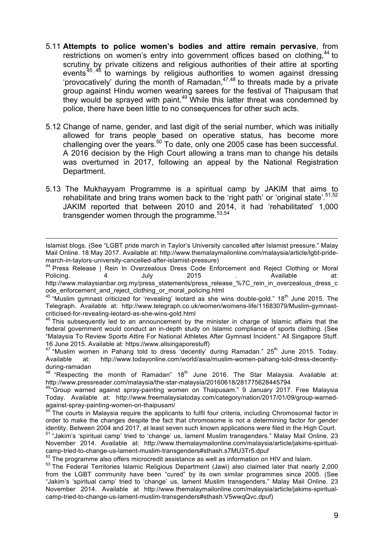- 5.11 **Attempts to police women's bodies and attire remain pervasive**, from restrictions on women's entry into government offices based on clothing,<sup>44</sup> to scrutiny by private citizens and religious authorities of their attire at sporting events<sup>45,46</sup> to warnings by religious authorities to women against dressing 'provocatively' during the month of Ramadan, 47,48 to threats made by a private group against Hindu women wearing sarees for the festival of Thaipusam that they would be sprayed with paint.<sup>49</sup> While this latter threat was condemned by police, there have been little to no consequences for other such acts.
- 5.12 Change of name, gender, and last digit of the serial number, which was initially allowed for trans people based on operative status, has become more challenging over the years.<sup>50</sup> To date, only one 2005 case has been successful. A 2016 decision by the High Court allowing a trans man to change his details was overturned in 2017, following an appeal by the National Registration Department.
- 5.13 The Mukhayyam Programme is a spiritual camp by JAKIM that aims to rehabilitate and bring trans women back to the 'right path' or 'original state'.<sup>51,52</sup> JAKIM reported that between 2010 and 2014, it had 'rehabilitated' 1,000 transgender women through the programme.<sup>53,54</sup>

<u> 2002 - Andrea San Andrea San Andrea San Andrea San Andrea San Andrea San Andrea San Andrea San Andrea San An</u>

<sup>44</sup> Press Release | Rein In Overzealous Dress Code Enforcement and Reject Clothing or Moral<br>Policing 4 1 1 1 1 1 1 1 2015 1 2015 Policing. 4 July 2015 . Available at: http://www.malaysianbar.org.my/press\_statements/press\_release\_%7C\_rein\_in\_overzealous\_dress\_c ode\_enforcement\_and\_reject\_clothing\_or\_moral\_policing.html

 $45$  "Muslim gymnast criticized for 'revealing' leotard as she wins double-gold." 18<sup>th</sup> June 2015. The Telegraph. Available at: http://www.telegraph.co.uk/women/womens-life/11683079/Muslim-gymnastcriticised-for-revealing-leotard-as-she-wins-gold.html

<sup>46</sup> This subsequently led to an announcement by the minister in charge of Islamic affairs that the federal government would conduct an in-depth study on Islamic compliance of sports clothing. (See "Malaysia To Review Sports Attire For National Athletes After Gymnast Incident." All Singapore Stuff. 16 June 2015. Available at: https://www.allsingaporestuff)

 $48$  "Respecting the month of Ramadan"  $18<sup>th</sup>$  June 2016. The Star Malaysia. Available at: http://www.pressreader.com/malaysia/the-star-malaysia/20160618/281775628445794

<sup>49</sup> Group warned against spray-painting women on Thaipusam." 9 January 2017. Free Malaysia Today. Available at: http://www.freemalaysiatoday.com/category/nation/2017/01/09/group-warnedagainst-spray-painting-women-on-thaipusam/

Islamist blogs. (See "LGBT pride march in Taylor's University cancelled after Islamist pressure." Malay Mail Online. 18 May 2017. Available at: http://www.themalaymailonline.com/malaysia/article/lgbt-pridemarch-in-taylors-university-cancelled-after-islamist-pressure)

<sup>47 &</sup>quot;Muslim women in Pahang told to dress 'decently' during Ramadan." 25<sup>th</sup> June 2015. Today. Available at: http://www.todayonline.com/world/asia/muslim-women-pahang-told-dress-decentlyduring-ramadan

 $50$  The courts in Malaysia require the applicants to fulfil four criteria, including Chromosomal factor in order to make the changes despite the fact that chromosome is not a determining factor for gender identity. Between 2004 and 2017, at least seven such known applications were filed in the High Court.

<sup>51</sup> "Jakim's 'spiritual camp' tried to 'change' us, lament Muslim transgenders." Malay Mail Online. 23 November 2014. Available at: http://www.themalaymailonline.com/malaysia/article/jakims-spiritualcamp-tried-to-change-us-lament-muslim-transgenders#sthash.s7MU3Tr5.dpuf

 $52$  The programme also offers microcredit assistance as well as information on HIV and Islam.

<sup>&</sup>lt;sup>53</sup> The Federal Territories Islamic Religious Department (Jawi) also claimed later that nearly 2,000 from the LGBT community have been "cured" by its own similar programmes since 2005. (See "Jakim's 'spiritual camp' tried to 'change' us, lament Muslim transgenders." Malay Mail Online. 23 November 2014. Available at http://www.themalaymailonline.com/malaysia/article/jakims-spiritualcamp-tried-to-change-us-lament-muslim-transgenders#sthash.V5wwqQvc.dpuf)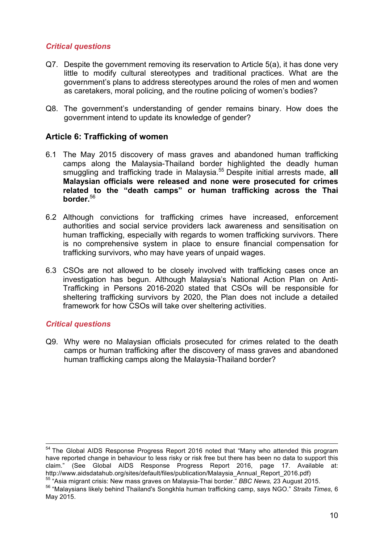## *Critical questions*

- Q7. Despite the government removing its reservation to Article 5(a), it has done very little to modify cultural stereotypes and traditional practices. What are the government's plans to address stereotypes around the roles of men and women as caretakers, moral policing, and the routine policing of women's bodies?
- Q8. The government's understanding of gender remains binary. How does the government intend to update its knowledge of gender?

## **Article 6: Trafficking of women**

- 6.1 The May 2015 discovery of mass graves and abandoned human trafficking camps along the Malaysia-Thailand border highlighted the deadly human smuggling and trafficking trade in Malaysia.<sup>55</sup> Despite initial arrests made, all **Malaysian officials were released and none were prosecuted for crimes related to the "death camps" or human trafficking across the Thai border.**<sup>56</sup>
- 6.2 Although convictions for trafficking crimes have increased, enforcement authorities and social service providers lack awareness and sensitisation on human trafficking, especially with regards to women trafficking survivors. There is no comprehensive system in place to ensure financial compensation for trafficking survivors, who may have years of unpaid wages.
- 6.3 CSOs are not allowed to be closely involved with trafficking cases once an investigation has begun. Although Malaysia's National Action Plan on Anti-Trafficking in Persons 2016-2020 stated that CSOs will be responsible for sheltering trafficking survivors by 2020, the Plan does not include a detailed framework for how CSOs will take over sheltering activities.

#### *Critical questions*

Q9. Why were no Malaysian officials prosecuted for crimes related to the death camps or human trafficking after the discovery of mass graves and abandoned human trafficking camps along the Malaysia-Thailand border?

<sup>&</sup>lt;sup>54</sup> The Global AIDS Response Progress Report 2016 noted that "Many who attended this program have reported change in behaviour to less risky or risk free but there has been no data to support this claim." (See Global AIDS Response Progress Report 2016, page 17. Available at: http://www.aidsdatahub.org/sites/default/files/publication/Malaysia\_Annual\_Report\_2016.pdf)

<sup>55</sup> "Asia migrant crisis: New mass graves on Malaysia-Thai border." *BBC News,* 23 August 2015.

<sup>56</sup> "Malaysians likely behind Thailand's Songkhla human trafficking camp, says NGO." *Straits Times,* 6 May 2015.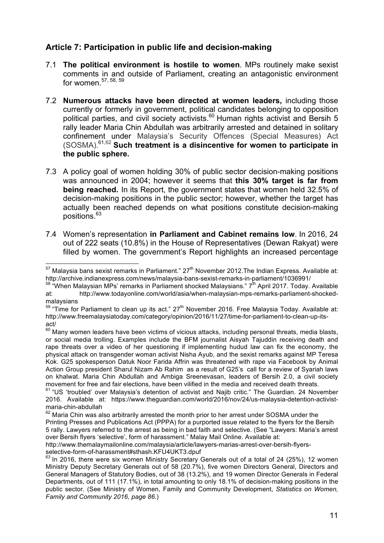# **Article 7: Participation in public life and decision-making**

- 7.1 **The political environment is hostile to women**. MPs routinely make sexist comments in and outside of Parliament, creating an antagonistic environment for women. $57, 58, 59$
- 7.2 **Numerous attacks have been directed at women leaders,** including those currently or formerly in government, political candidates belonging to opposition political parties, and civil society activists.<sup>60</sup> Human rights activist and Bersih 5 rally leader Maria Chin Abdullah was arbitrarily arrested and detained in solitary confinement under Malaysia's Security Offences (Special Measures) Act (SOSMA). 61,62 **Such treatment is a disincentive for women to participate in the public sphere.**
- 7.3 A policy goal of women holding 30% of public sector decision-making positions was announced in 2004; however it seems that **this 30% target is far from being reached.** In its Report, the government states that women held 32.5% of decision-making positions in the public sector; however, whether the target has actually been reached depends on what positions constitute decision-making positions. 63
- 7.4 Women's representation **in Parliament and Cabinet remains low**. In 2016, 24 out of 222 seats (10.8%) in the House of Representatives (Dewan Rakyat) were filled by women. The government's Report highlights an increased percentage

 $57$  Malaysia bans sexist remarks in Parliament."  $27<sup>th</sup>$  November 2012. The Indian Express. Available at: http://archive.indianexpress.com/news/malaysia-bans-sexist-remarks-in-parliament/1036991/

 $58$  "When Malaysian MPs' remarks in Parliament shocked Malaysians."  $7^{\text{th}}$  April 2017. Today. Available at: http://www.todayonline.com/world/asia/when-malaysian-mps-remarks-parliament-shockedmalaysians

 $59$  "Time for Parliament to clean up its act."  $27<sup>th</sup>$  November 2016. Free Malaysia Today. Available at: http://www.freemalaysiatoday.com/category/opinion/2016/11/27/time-for-parliament-to-clean-up-itsact/

 $60$  Many women leaders have been victims of vicious attacks, including personal threats, media blasts, or social media trolling. Examples include the BFM journalist Aisyah Tajuddin receiving death and rape threats over a video of her questioning if implementing hudud law can fix the economy, the physical attack on transgender woman activist Nisha Ayub, and the sexist remarks against MP Teresa Kok. G25 spokesperson Datuk Noor Farida Affrin was threatened with rape via Facebook by Animal Action Group president Sharul Nizam Ab Rahim as a result of G25's call for a review of Syariah laws on khalwat. Maria Chin Abdullah and Ambiga Sreenevasan, leaders of Bersih 2.0, a civil society movement for free and fair elections, have been vilified in the media and received death threats.

<sup>&</sup>lt;sup>61</sup> "US 'troubled' over Malaysia's detention of activist and Najib critic." The Guardian. 24 November 2016. Available at: https://www.theguardian.com/world/2016/nov/24/us-malaysia-detention-activistmaria-chin-abdullah

 $62$  Maria Chin was also arbitrarily arrested the month prior to her arrest under SOSMA under the Printing Presses and Publications Act (PPPA) for a purported issue related to the flyers for the Bersih 5 rally. Lawyers referred to the arrest as being in bad faith and selective. (See "Lawyers: Maria's arrest over Bersih flyers 'selective', form of harassment." Malay Mail Online. Available at:

http://www.themalaymailonline.com/malaysia/article/lawyers-marias-arrest-over-bersih-flyers-

 $63$  In 2016, there were six women Ministry Secretary Generals out of a total of 24 (25%), 12 women Ministry Deputy Secretary Generals out of 58 (20.7%), five women Directors General, Directors and General Managers of Statutory Bodies, out of 38 (13.2%), and 19 women Director Generals in Federal Departments, out of 111 (17.1%), in total amounting to only 18.1% of decision-making positions in the public sector. (See Ministry of Women, Family and Community Development, *Statistics on Women, Family and Community 2016, page 86*.)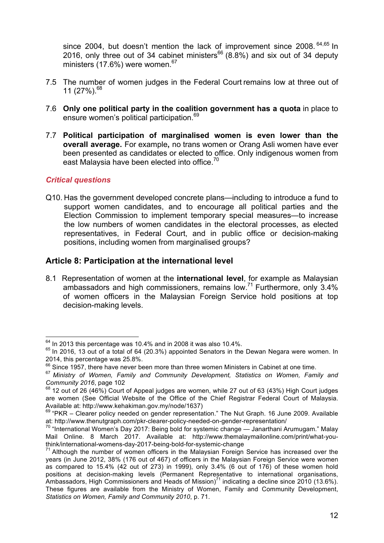since 2004, but doesn't mention the lack of improvement since 2008. <sup>64,65</sup> In 2016, only three out of 34 cabinet ministers<sup>66</sup> (8.8%) and six out of 34 deputy ministers (17.6%) were women. 67

- 7.5 The number of women judges in the Federal Court remains low at three out of 11 (27%). 68
- 7.6 **Only one political party in the coalition government has a quota** in place to ensure women's political participation.<sup>69</sup>
- 7.7 **Political participation of marginalised women is even lower than the overall average.** For example**,** no trans women or Orang Asli women have ever been presented as candidates or elected to office. Only indigenous women from east Malaysia have been elected into office.<sup>70</sup>

## *Critical questions*

Q10. Has the government developed concrete plans—including to introduce a fund to support women candidates, and to encourage all political parties and the Election Commission to implement temporary special measures—to increase the low numbers of women candidates in the electoral processes, as elected representatives, in Federal Court, and in public office or decision-making positions, including women from marginalised groups?

## **Article 8: Participation at the international level**

8.1 Representation of women at the **international level**, for example as Malaysian ambassadors and high commissioners, remains low.<sup>71</sup> Furthermore, only  $3.4\%$ of women officers in the Malaysian Foreign Service hold positions at top decision-making levels.

 $64$  In 2013 this percentage was 10.4% and in 2008 it was also 10.4%.

 $65$  In 2016, 13 out of a total of 64 (20.3%) appointed Senators in the Dewan Negara were women. In 2014, this percentage was 25.8%.

 $66$  Since 1957, there have never been more than three women Ministers in Cabinet at one time.

<sup>67</sup> *Ministry of Women, Family and Community Development, Statistics on Women, Family and Community 2016*, page 102

 $68$  12 out of 26 (46%) Court of Appeal judges are women, while 27 out of 63 (43%) High Court judges are women (See Official Website of the Office of the Chief Registrar Federal Court of Malaysia. Available at: http://www.kehakiman.gov.my/node/1637)

<sup>&</sup>lt;sup>69</sup> "PKR – Clearer policy needed on gender representation." The Nut Graph. 16 June 2009. Available at: http://www.thenutgraph.com/pkr-clearer-policy-needed-on-gender-representation/

<sup>70</sup> "International Women's Day 2017: Being bold for systemic change — Janarthani Arumugam." Malay Mail Online. 8 March 2017. Available at: http://www.themalaymailonline.com/print/what-youthink/international-womens-day-2017-being-bold-for-systemic-change

 $71$  Although the number of women officers in the Malaysian Foreign Service has increased over the years (in June 2012, 38% (176 out of 467) of officers in the Malaysian Foreign Service were women as compared to 15.4% (42 out of 273) in 1999), only 3.4% (6 out of 176) of these women hold positions at decision-making levels (Permanent Representative to international organisations, Ambassadors, High Commissioners and Heads of Mission)<sup>71</sup> indicating a decline since 2010 (13.6%). These figures are available from the Ministry of Women, Family and Community Development, *Statistics on Women, Family and Community 2010*, p. 71.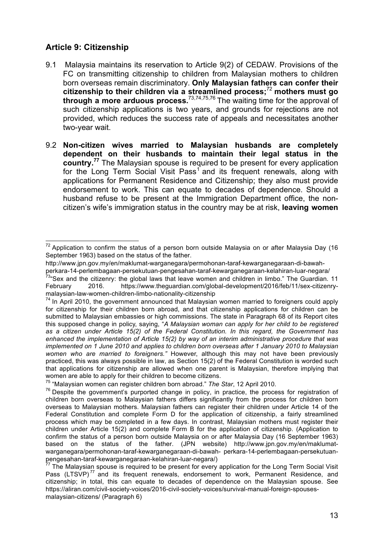# **Article 9: Citizenship**

- 9.1 Malaysia maintains its reservation to Article 9(2) of CEDAW. Provisions of the FC on transmitting citizenship to children from Malaysian mothers to children born overseas remain discriminatory. **Only Malaysian fathers can confer their citizenship to their children via a streamlined process;**<sup>72</sup> **mothers must go through a more arduous process.**73,74,75,76 The waiting time for the approval of such citizenship applications is two years, and grounds for rejections are not provided, which reduces the success rate of appeals and necessitates another two-year wait.
- 9.2 **Non-citizen wives married to Malaysian husbands are completely dependent on their husbands to maintain their legal status in the country.<sup>77</sup>** The Malaysian spouse is required to be present for every application for the Long Term Social Visit Pass<sup>1</sup> and its frequent renewals, along with applications for Permanent Residence and Citizenship; they also must provide endorsement to work. This can equate to decades of dependence. Should a husband refuse to be present at the Immigration Department office, the noncitizen's wife's immigration status in the country may be at risk, **leaving women**

 $72$  Application to confirm the status of a person born outside Malaysia on or after Malaysia Day (16 September 1963) based on the status of the father.

http://www.jpn.gov.my/en/maklumat-warganegara/permohonan-taraf-kewarganegaraan-di-bawah-

perkara-14-perlembagaan-persekutuan-pengesahan-taraf-kewarganegaraan-kelahiran-luar-negara/

<sup>73&</sup>lt;sub>"</sub>Sex and the citizenry: the global laws that leave women and children in limbo." The Guardian. 11 February 2016. https://www.theguardian.com/global-development/2016/feb/11/sex-citizenrymalaysian-law-women-children-limbo-nationality-citizenship

 $74$  In April 2010, the government announced that Malaysian women married to foreigners could apply for citizenship for their children born abroad, and that citizenship applications for children can be submitted to Malaysian embassies or high commissions. The state in Paragraph 68 of its Report cites this supposed change in policy, saying, "*A Malaysian woman can apply for her child to be registered as a citizen under Article 15(2) of the Federal Constitution. In this regard, the Government has enhanced the implementation of Article 15(2) by way of an interim administrative procedure that was implemented on 1 June 2010 and applies to children born overseas after 1 January 2010 to Malaysian women who are married to foreigners."* However, although this may not have been previously practiced, this was always possible in law, as Section 15(2) of the Federal Constitution is worded such that applications for citizenship are allowed when one parent is Malaysian, therefore implying that women are able to apply for their children to become citizens.

<sup>75</sup> "Malaysian women can register children born abroad." *The Star*, 12 April 2010.

<sup>&</sup>lt;sup>76</sup> Despite the government's purported change in policy, in practice, the process for registration of children born overseas to Malaysian fathers differs significantly from the process for children born overseas to Malaysian mothers. Malaysian fathers can register their children under Article 14 of the Federal Constitution and complete Form D for the application of citizenship, a fairly streamlined process which may be completed in a few days. In contrast, Malaysian mothers must register their children under Article 15(2) and complete Form B for the application of citizenship. (Application to confirm the status of a person born outside Malaysia on or after Malaysia Day (16 September 1963) based on the status of the father. (JPN website) http://www.jpn.gov.my/en/maklumatwarganegara/permohonan-taraf-kewarganegaraan-di-bawah- perkara-14-perlembagaan-persekutuanpengesahan-taraf-kewarganegaraan-kelahiran-luar-negara/)

<sup>&</sup>lt;sup>77</sup> The Malaysian spouse is required to be present for every application for the Long Term Social Visit Pass (LTSVP)<sup>77</sup> and its frequent renewals, endorsement to work, Permanent Residence, and citizenship; in total, this can equate to decades of dependence on the Malaysian spouse. See https://aliran.com/civil-society-voices/2016-civil-society-voices/survival-manual-foreign-spousesmalaysian-citizens/ (Paragraph 6)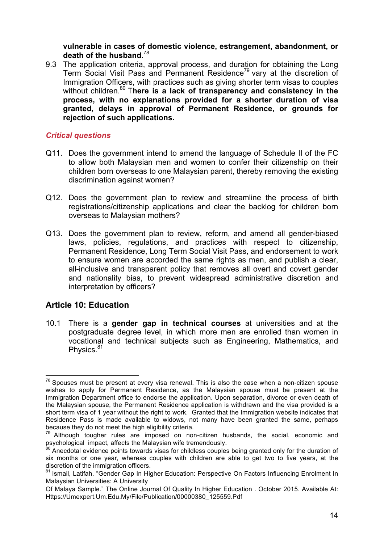**vulnerable in cases of domestic violence, estrangement, abandonment, or death of the husband**. 78

9.3 The application criteria, approval process, and duration for obtaining the Long Term Social Visit Pass and Permanent Residence<sup>79</sup> vary at the discretion of Immigration Officers, with practices such as giving shorter term visas to couples without children.<sup>80</sup> There is a lack of transparency and consistency in the **process, with no explanations provided for a shorter duration of visa granted, delays in approval of Permanent Residence, or grounds for rejection of such applications.** 

#### *Critical questions*

- Q11. Does the government intend to amend the language of Schedule II of the FC to allow both Malaysian men and women to confer their citizenship on their children born overseas to one Malaysian parent, thereby removing the existing discrimination against women?
- Q12. Does the government plan to review and streamline the process of birth registrations/citizenship applications and clear the backlog for children born overseas to Malaysian mothers?
- Q13. Does the government plan to review, reform, and amend all gender-biased laws, policies, regulations, and practices with respect to citizenship, Permanent Residence, Long Term Social Visit Pass, and endorsement to work to ensure women are accorded the same rights as men, and publish a clear, all-inclusive and transparent policy that removes all overt and covert gender and nationality bias, to prevent widespread administrative discretion and interpretation by officers?

## **Article 10: Education**

10.1 There is a **gender gap in technical courses** at universities and at the postgraduate degree level, in which more men are enrolled than women in vocational and technical subjects such as Engineering, Mathematics, and Physics.<sup>81</sup>

 $78$  Spouses must be present at every visa renewal. This is also the case when a non-citizen spouse wishes to apply for Permanent Residence, as the Malaysian spouse must be present at the Immigration Department office to endorse the application. Upon separation, divorce or even death of the Malaysian spouse, the Permanent Residence application is withdrawn and the visa provided is a short term visa of 1 year without the right to work. Granted that the Immigration website indicates that Residence Pass is made available to widows, not many have been granted the same, perhaps because they do not meet the high eligibility criteria.

 $79$  Although tougher rules are imposed on non-citizen husbands, the social, economic and psychological impact, affects the Malaysian wife tremendously.

Anecdotal evidence points towards visas for childless couples being granted only for the duration of six months or one year, whereas couples with children are able to get two to five years, at the discretion of the immigration officers.

<sup>&</sup>lt;sup>81</sup> Ismail, Latifah. "Gender Gap In Higher Education: Perspective On Factors Influencing Enrolment In Malaysian Universities: A University

Of Malaya Sample." The Online Journal Of Quality In Higher Education . October 2015. Available At: Https://Umexpert.Um.Edu.My/File/Publication/00000380\_125559.Pdf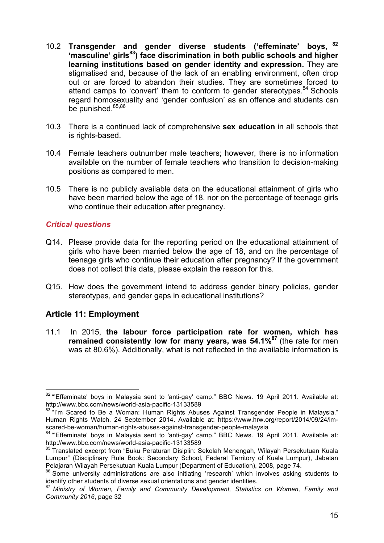- 10.2 **Transgender and gender diverse students ('effeminate' boys, <sup>82</sup> 'masculine' girls83) face discrimination in both public schools and higher learning institutions based on gender identity and expression.** They are stigmatised and, because of the lack of an enabling environment, often drop out or are forced to abandon their studies. They are sometimes forced to attend camps to 'convert' them to conform to gender stereotypes.<sup>84</sup> Schools regard homosexuality and 'gender confusion' as an offence and students can be punished. $85,86$
- 10.3 There is a continued lack of comprehensive **sex education** in all schools that is rights-based.
- 10.4 Female teachers outnumber male teachers; however, there is no information available on the number of female teachers who transition to decision-making positions as compared to men.
- 10.5 There is no publicly available data on the educational attainment of girls who have been married below the age of 18, nor on the percentage of teenage girls who continue their education after pregnancy.

#### *Critical questions*

- Q14. Please provide data for the reporting period on the educational attainment of girls who have been married below the age of 18, and on the percentage of teenage girls who continue their education after pregnancy? If the government does not collect this data, please explain the reason for this.
- Q15. How does the government intend to address gender binary policies, gender stereotypes, and gender gaps in educational institutions?

## **Article 11: Employment**

11.1 In 2015, **the labour force participation rate for women, which has remained consistently low for many years, was 54.1%87** (the rate for men was at 80.6%). Additionally, what is not reflected in the available information is

<sup>&</sup>lt;sup>82</sup> "Effeminate' boys in Malaysia sent to 'anti-gay' camp." BBC News. 19 April 2011. Available at: http://www.bbc.com/news/world-asia-pacific-13133589

<sup>&</sup>lt;sup>83</sup> "I'm Scared to Be a Woman: Human Rights Abuses Against Transgender People in Malaysia." Human Rights Watch. 24 September 2014. Available at: https://www.hrw.org/report/2014/09/24/imscared-be-woman/human-rights-abuses-against-transgender-people-malaysia

<sup>84 &</sup>quot;Effeminate' boys in Malaysia sent to 'anti-gay' camp." BBC News. 19 April 2011. Available at: http://www.bbc.com/news/world-asia-pacific-13133589

<sup>&</sup>lt;sup>85</sup> Translated excerpt from "Buku Peraturan Disiplin: Sekolah Menengah, Wilayah Persekutuan Kuala Lumpur" (Disciplinary Rule Book: Secondary School, Federal Territory of Kuala Lumpur), Jabatan Pelajaran Wilayah Persekutuan Kuala Lumpur (Department of Education), 2008, page 74.

<sup>&</sup>lt;sup>86</sup> Some university administrations are also initiating 'research' which involves asking students to identify other students of diverse sexual orientations and gender identities.

<sup>87</sup> *Ministry of Women, Family and Community Development, Statistics on Women, Family and Community 2016*, page 32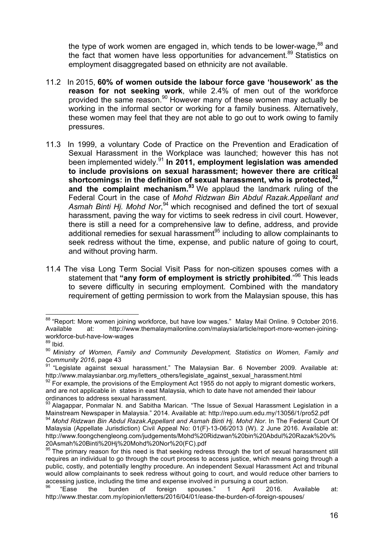the type of work women are engaged in, which tends to be lower-wage, $88$  and the fact that women have less opportunities for advancement.<sup>89</sup> Statistics on employment disaggregated based on ethnicity are not available.

- 11.2 In 2015, **60% of women outside the labour force gave 'housework' as the reason for not seeking work**, while 2.4% of men out of the workforce provided the same reason.<sup>90</sup> However many of these women may actually be working in the informal sector or working for a family business. Alternatively, these women may feel that they are not able to go out to work owing to family pressures.
- 11.3 In 1999, a voluntary Code of Practice on the Prevention and Eradication of Sexual Harassment in the Workplace was launched; however this has not been implemented widely.<sup>91</sup> **In 2011, employment legislation was amended to include provisions on sexual harassment; however there are critical shortcomings: in the definition of sexual harassment, who is protected, 92** and the complaint mechanism.<sup>93</sup> We applaud the landmark ruling of the Federal Court in the case of *Mohd Ridzwan Bin Abdul Razak.Appellant and Asmah Binti Hj. Mohd Nor*, <sup>94</sup> which recognised and defined the tort of sexual harassment, paving the way for victims to seek redress in civil court. However, there is still a need for a comprehensive law to define, address, and provide additional remedies for sexual harassment<sup>95</sup> including to allow complainants to seek redress without the time, expense, and public nature of going to court, and without proving harm.
- 11.4 The visa Long Term Social Visit Pass for non-citizen spouses comes with a statement that **"any form of employment is strictly prohibited**."96 This leads to severe difficulty in securing employment. Combined with the mandatory requirement of getting permission to work from the Malaysian spouse, this has

<sup>&</sup>lt;sup>88</sup> "Report: More women joining workforce, but have low wages." Malay Mail Online. 9 October 2016. Available at: http://www.themalaymailonline.com/malaysia/article/report-more-women-joiningworkforce-but-have-low-wages

 $89$  Ibid.

<sup>90</sup> *Ministry of Women, Family and Community Development, Statistics on Women, Family and Community 2016*, page 43

<sup>91</sup> "Legislate against sexual harassment." The Malaysian Bar. 6 November 2009. Available at: http://www.malaysianbar.org.my/letters\_others/legislate\_against\_sexual\_harassment.html

 $92$  For example, the provisions of the Employment Act 1955 do not apply to migrant domestic workers, and are not applicable in states in east Malaysia, which to date have not amended their labour ordinances to address sexual harassment.

<sup>93</sup> Alagappar, Ponmalar N. and Sabitha Marican. "The Issue of Sexual Harassment Legislation in a Mainstream Newspaper in Malaysia." 2014. Available at: http://repo.uum.edu.my/13056/1/pro52.pdf

<sup>94</sup> *Mohd Ridzwan Bin Abdul Razak.Appellant and Asmah Binti Hj. Mohd Nor*. In The Federal Court Of Malaysia (Appellate Jurisdiction) Civil Appeal No: 01(F)-13-06/2013 (W). 2 June 2016. Available at: http://www.foongchengleong.com/judgements/Mohd%20Ridzwan%20bin%20Abdul%20Razak%20v% 20Asmah%20Binti%20Hj%20Mohd%20Nor%20(FC).pdf

<sup>&</sup>lt;sup>95</sup> The primary reason for this need is that seeking redress through the tort of sexual harassment still requires an individual to go through the court process to access justice, which means going through a public, costly, and potentially lengthy procedure. An independent Sexual Harassment Act and tribunal would allow complainants to seek redress without going to court, and would reduce other barriers to accessing justice, including the time and expense involved in pursuing a court action.

 $96$  "Ease the burden of foreign spouses." 1 April 2016. Available at: http://www.thestar.com.my/opinion/letters/2016/04/01/ease-the-burden-of-foreign-spouses/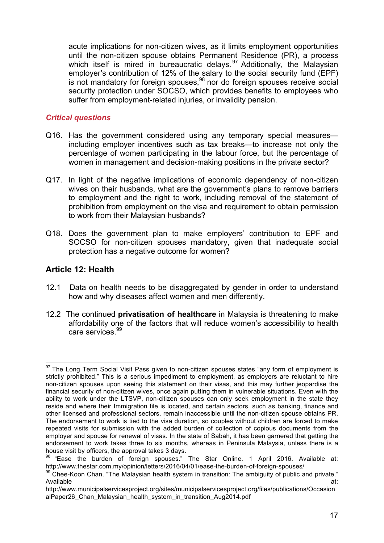acute implications for non-citizen wives, as it limits employment opportunities until the non-citizen spouse obtains Permanent Residence (PR), a process which itself is mired in bureaucratic delays.<sup>97</sup> Additionally, the Malaysian employer's contribution of 12% of the salary to the social security fund (EPF) is not mandatory for foreign spouses,<sup>98</sup> nor do foreign spouses receive social security protection under SOCSO, which provides benefits to employees who suffer from employment-related injuries, or invalidity pension.

#### *Critical questions*

- Q16. Has the government considered using any temporary special measures including employer incentives such as tax breaks—to increase not only the percentage of women participating in the labour force, but the percentage of women in management and decision-making positions in the private sector?
- Q17. In light of the negative implications of economic dependency of non-citizen wives on their husbands, what are the government's plans to remove barriers to employment and the right to work, including removal of the statement of prohibition from employment on the visa and requirement to obtain permission to work from their Malaysian husbands?
- Q18. Does the government plan to make employers' contribution to EPF and SOCSO for non-citizen spouses mandatory, given that inadequate social protection has a negative outcome for women?

## **Article 12: Health**

- 12.1 Data on health needs to be disaggregated by gender in order to understand how and why diseases affect women and men differently.
- 12.2 The continued **privatisation of healthcare** in Malaysia is threatening to make affordability one of the factors that will reduce women's accessibility to health care services<sup>99</sup>

<sup>&</sup>lt;sup>97</sup> The Long Term Social Visit Pass given to non-citizen spouses states "any form of employment is strictly prohibited." This is a serious impediment to employment, as employers are reluctant to hire non-citizen spouses upon seeing this statement on their visas, and this may further jeopardise the financial security of non-citizen wives, once again putting them in vulnerable situations. Even with the ability to work under the LTSVP, non-citizen spouses can only seek employment in the state they reside and where their Immigration file is located, and certain sectors, such as banking, finance and other licensed and professional sectors, remain inaccessible until the non-citizen spouse obtains PR. The endorsement to work is tied to the visa duration, so couples without children are forced to make repeated visits for submission with the added burden of collection of copious documents from the employer and spouse for renewal of visas. In the state of Sabah, it has been garnered that getting the endorsement to work takes three to six months, whereas in Peninsula Malaysia, unless there is a house visit by officers, the approval takes 3 days.

<sup>98 &</sup>quot;Ease the burden of foreign spouses." The Star Online. 1 April 2016. Available at: http://www.thestar.com.my/opinion/letters/2016/04/01/ease-the-burden-of-foreign-spouses/

<sup>99</sup> Chee-Koon Chan. "The Malaysian health system in transition: The ambiguity of public and private." Available at: the contract of the contract of the contract of the contract of the contract of the contract of the contract of the contract of the contract of the contract of the contract of the contract of the contract of

http://www.municipalservicesproject.org/sites/municipalservicesproject.org/files/publications/Occasion alPaper26 Chan\_Malaysian\_health\_system\_in\_transition\_Aug2014.pdf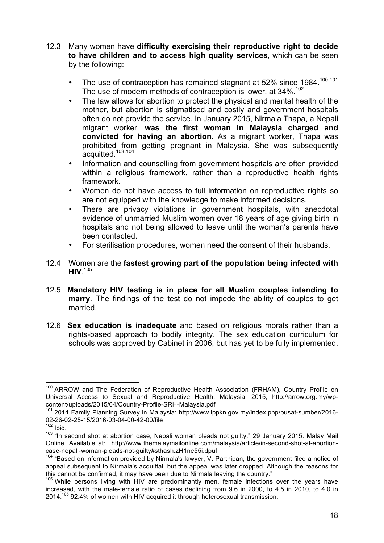- 12.3 Many women have **difficulty exercising their reproductive right to decide to have children and to access high quality services**, which can be seen by the following:
	- The use of contraception has remained stagnant at 52% since 1984.<sup>100,101</sup> The use of modern methods of contraception is lower, at 34%.<sup>102</sup>
	- The law allows for abortion to protect the physical and mental health of the mother, but abortion is stigmatised and costly and government hospitals often do not provide the service. In January 2015, Nirmala Thapa, a Nepali migrant worker, **was the first woman in Malaysia charged and convicted for having an abortion.** As a migrant worker, Thapa was prohibited from getting pregnant in Malaysia. She was subsequently acquitted.103,104
	- Information and counselling from government hospitals are often provided within a religious framework, rather than a reproductive health rights framework.
	- Women do not have access to full information on reproductive rights so are not equipped with the knowledge to make informed decisions.
	- There are privacy violations in government hospitals, with anecdotal evidence of unmarried Muslim women over 18 years of age giving birth in hospitals and not being allowed to leave until the woman's parents have been contacted.
	- For sterilisation procedures, women need the consent of their husbands.
- 12.4 Women are the **fastest growing part of the population being infected with HIV**. 105
- 12.5 **Mandatory HIV testing is in place for all Muslim couples intending to marry**. The findings of the test do not impede the ability of couples to get married.
- 12.6 **Sex education is inadequate** and based on religious morals rather than a rights-based approach to bodily integrity. The sex education curriculum for schools was approved by Cabinet in 2006, but has yet to be fully implemented.

<sup>&</sup>lt;sup>100</sup> ARROW and The Federation of Reproductive Health Association (FRHAM), Country Profile on Universal Access to Sexual and Reproductive Health: Malaysia, 2015, http://arrow.org.my/wpcontent/uploads/2015/04/Country-Profile-SRH-Malaysia.pdf

<sup>101</sup> 2014 Family Planning Survey in Malaysia: http://www.lppkn.gov.my/index.php/pusat-sumber/2016- 02-26-02-25-15/2016-03-04-00-42-00/file

 $102$  Ibid.

<sup>&</sup>lt;sup>103</sup> "In second shot at abortion case, Nepali woman pleads not guilty." 29 January 2015. Malay Mail Online. Available at: http://www.themalaymailonline.com/malaysia/article/in-second-shot-at-abortioncase-nepali-woman-pleads-not-guilty#sthash.zH1ne55i.dpuf

<sup>&</sup>lt;sup>104</sup> "Based on information provided by Nirmala's lawyer, V. Parthipan, the government filed a notice of appeal subsequent to Nirmala's acquittal, but the appeal was later dropped. Although the reasons for this cannot be confirmed, it may have been due to Nirmala leaving the country."

<sup>&</sup>lt;sup>105</sup> While persons living with HIV are predominantly men, female infections over the years have increased, with the male-female ratio of cases declining from 9.6 in 2000, to 4.5 in 2010, to 4.0 in 2014.105 92.4% of women with HIV acquired it through heterosexual transmission.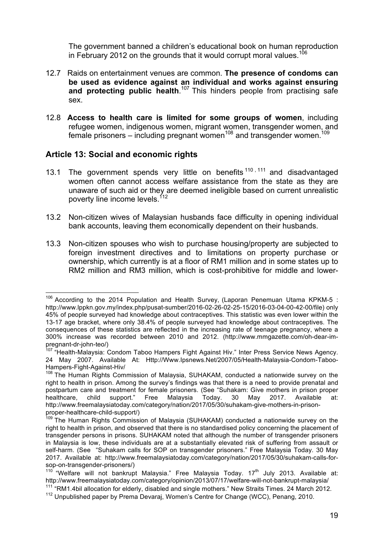The government banned a children's educational book on human reproduction in February 2012 on the grounds that it would corrupt moral values.<sup>106</sup>

- 12.7 Raids on entertainment venues are common. **The presence of condoms can be used as evidence against an individual and works against ensuring**  and protecting public health.<sup>107</sup> This hinders people from practising safe sex.
- 12.8 **Access to health care is limited for some groups of women**, including refugee women, indigenous women, migrant women, transgender women, and female prisoners – including pregnant women<sup>108</sup> and transgender women.<sup>109</sup>

## **Article 13: Social and economic rights**

- 13.1 The government spends very little on benefits  $110, 111$  and disadvantaged women often cannot access welfare assistance from the state as they are unaware of such aid or they are deemed ineligible based on current unrealistic poverty line income levels.<sup>112</sup>
- 13.2 Non-citizen wives of Malaysian husbands face difficulty in opening individual bank accounts, leaving them economically dependent on their husbands.
- 13.3 Non-citizen spouses who wish to purchase housing/property are subjected to foreign investment directives and to limitations on property purchase or ownership, which currently is at a floor of RM1 million and in some states up to RM2 million and RM3 million, which is cost-prohibitive for middle and lower-

<sup>&</sup>lt;sup>106</sup> According to the 2014 Population and Health Survey, (Laporan Penemuan Utama KPKM-5 : http://www.lppkn.gov.my/index.php/pusat-sumber/2016-02-26-02-25-15/2016-03-04-00-42-00/file) only 45% of people surveyed had knowledge about contraceptives. This statistic was even lower within the 13-17 age bracket, where only 38.4% of people surveyed had knowledge about contraceptives. The consequences of these statistics are reflected in the increasing rate of teenage pregnancy, where a 300% increase was recorded between 2010 and 2012. (http://www.mmgazette.com/oh-dear-impregnant-dr-john-teo/)

<sup>&</sup>lt;sup>107</sup> "Health-Malaysia: Condom Taboo Hampers Fight Against Hiv." Inter Press Service News Agency. 24 May 2007. Available At: Http://Www.Ipsnews.Net/2007/05/Health-Malaysia-Condom-Taboo-Hampers-Fight-Against-Hiv/

<sup>&</sup>lt;sup>108</sup> The Human Rights Commission of Malaysia, SUHAKAM, conducted a nationwide survey on the right to health in prison. Among the survey's findings was that there is a need to provide prenatal and postpartum care and treatment for female prisoners. (See "Suhakam: Give mothers in prison proper healthcare, child support." Free Malaysia Today. 30 May 2017. Available at: http://www.freemalaysiatoday.com/category/nation/2017/05/30/suhakam-give-mothers-in-prisonproper-healthcare-child-support/)

<sup>109</sup> The Human Rights Commission of Malaysia (SUHAKAM) conducted a nationwide survey on the right to health in prison, and observed that there is no standardised policy concerning the placement of transgender persons in prisons. SUHAKAM noted that although the number of transgender prisoners in Malaysia is low, these individuals are at a substantially elevated risk of suffering from assault or self-harm. (See "Suhakam calls for SOP on transgender prisoners." Free Malaysia Today. 30 May 2017. Available at: http://www.freemalaysiatoday.com/category/nation/2017/05/30/suhakam-calls-forsop-on-transgender-prisoners/)

 $110$  "Welfare will not bankrupt Malaysia." Free Malaysia Today.  $17<sup>th</sup>$  July 2013. Available at: http://www.freemalaysiatoday.com/category/opinion/2013/07/17/welfare-will-not-bankrupt-malaysia/  $111$  "RM1.4bil allocation for elderly, disabled and single mothers." New Straits Times. 24 March 2012.

<sup>112</sup> Unpublished paper by Prema Devaraj, Women's Centre for Change (WCC), Penang, 2010.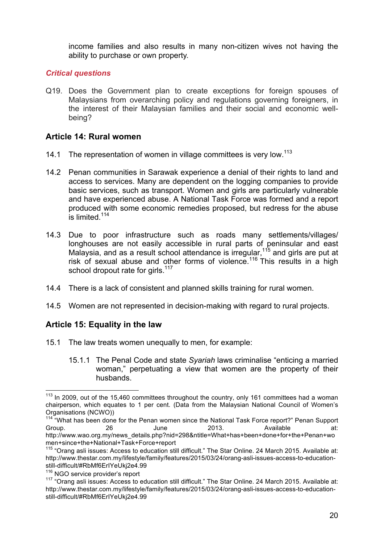income families and also results in many non-citizen wives not having the ability to purchase or own property.

#### *Critical questions*

Q19. Does the Government plan to create exceptions for foreign spouses of Malaysians from overarching policy and regulations governing foreigners, in the interest of their Malaysian families and their social and economic wellbeing?

## **Article 14: Rural women**

- 14.1 The representation of women in village committees is very low.<sup>113</sup>
- 14.2 Penan communities in Sarawak experience a denial of their rights to land and access to services. Many are dependent on the logging companies to provide basic services, such as transport. Women and girls are particularly vulnerable and have experienced abuse. A National Task Force was formed and a report produced with some economic remedies proposed, but redress for the abuse is limited.<sup>114</sup>
- 14.3 Due to poor infrastructure such as roads many settlements/villages/ longhouses are not easily accessible in rural parts of peninsular and east Malaysia, and as a result school attendance is irregular,  $115$  and girls are put at risk of sexual abuse and other forms of violence.<sup>116</sup> This results in a high school dropout rate for girls.<sup>117</sup>
- 14.4 There is a lack of consistent and planned skills training for rural women.
- 14.5 Women are not represented in decision-making with regard to rural projects.

## **Article 15: Equality in the law**

- 15.1 The law treats women unequally to men, for example:
	- 15.1.1 The Penal Code and state *Syariah* laws criminalise "enticing a married woman," perpetuating a view that women are the property of their husbands.

<sup>&</sup>lt;sup>113</sup> In 2009, out of the 15,460 committees throughout the country, only 161 committees had a woman chairperson, which equates to 1 per cent. (Data from the Malaysian National Council of Women's Organisations (NCWO))

<sup>114 &</sup>quot;What has been done for the Penan women since the National Task Force report?" Penan Support Group. 26 June 2013. Available at: http://www.wao.org.my/news\_details.php?nid=298&ntitle=What+has+been+done+for+the+Penan+wo men+since+the+National+Task+Force+report

<sup>&</sup>lt;sup>115</sup> "Orang asli issues: Access to education still difficult." The Star Online. 24 March 2015. Available at: http://www.thestar.com.my/lifestyle/family/features/2015/03/24/orang-asli-issues-access-to-educationstill-difficult/#RbMf6ErIYeUkj2e4.99

<sup>&</sup>lt;sup>116</sup> NGO service provider's report

<sup>&</sup>lt;sup>117</sup> "Orang asli issues: Access to education still difficult." The Star Online. 24 March 2015. Available at: http://www.thestar.com.my/lifestyle/family/features/2015/03/24/orang-asli-issues-access-to-educationstill-difficult/#RbMf6ErIYeUkj2e4.99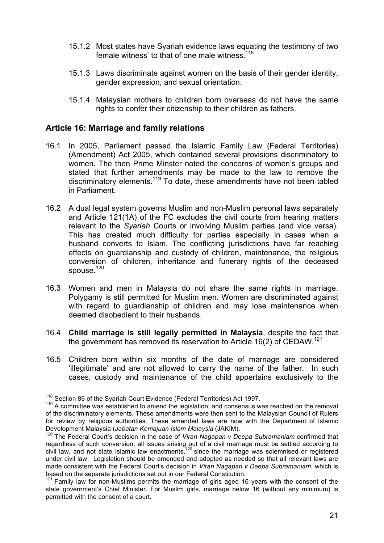- 15.1.2 Most states have Syariah evidence laws equating the testimony of two female witness' to that of one male witness.<sup>118</sup>
- 15.1.3 Laws discriminate against women on the basis of their gender identity, gender expression, and sexual orientation.
- 15.1.4 Malaysian mothers to children born overseas do not have the same rights to confer their citizenship to their children as fathers.

#### **Article 16: Marriage and family relations**

- 16.1 In 2005, Parliament passed the Islamic Family Law (Federal Territories) (Amendment) Act 2005, which contained several provisions discriminatory to women. The then Prime Minster noted the concerns of women's groups and stated that further amendments may be made to the law to remove the discriminatory elements.119 To date, these amendments have not been tabled in Parliament.
- 16.2 A dual legal system governs Muslim and non-Muslim personal laws separately and Article 121(1A) of the FC excludes the civil courts from hearing matters relevant to the *Syariah* Courts or involving Muslim parties (and vice versa). This has created much difficulty for parties especially in cases when a husband converts to Islam. The conflicting jurisdictions have far reaching effects on guardianship and custody of children, maintenance, the religious conversion of children, inheritance and funerary rights of the deceased spouse.<sup>120</sup>
- 16.3 Women and men in Malaysia do not share the same rights in marriage. Polygamy is still permitted for Muslim men. Women are discriminated against with regard to guardianship of children and may lose maintenance when deemed disobedient to their husbands.
- 16.4 **Child marriage is still legally permitted in Malaysia**, despite the fact that the government has removed its reservation to Article 16(2) of CEDAW.<sup>121</sup>
- 16.5 Children born within six months of the date of marriage are considered 'illegitimate' and are not allowed to carry the name of the father. In such cases, custody and maintenance of the child appertains exclusively to the

<sup>&</sup>lt;sup>118</sup> Section 86 of the Syariah Court Evidence (Federal Territories) Act 1997.<br><sup>119</sup> A committee was established to amend the legislation, and consensus was reached on the removal of the discriminatory elements. These amendments were then sent to the Malaysian Council of Rulers for review by religious authorities. These amended laws are now with the Department of Islamic Development Malaysia (*Jabatan Kemajuan Islam Malaysia* (JAKIM).

<sup>120</sup> The Federal Court's decision in the case of *Viran Nagapan v Deepa Subramaniam* confirmed that regardless of such conversion, all issues arising out of a civil marriage must be settled according to civil law, and not state Islamic law enactments,<sup>120</sup> since the marriage was solemnised or registered under civil law. Legislation should be amended and adopted as needed so that all relevant laws are made consistent with the Federal Court's decision in *Viran Nagapan v Deepa Subramaniam*, which is based on the separate jurisdictions set out in our Federal Constitution.

<sup>&</sup>lt;sup>121</sup> Family law for non-Muslims permits the marriage of girls aged 16 years with the consent of the state government's Chief Minister. For Muslim girls, marriage below 16 (without any minimum) is permitted with the consent of a court.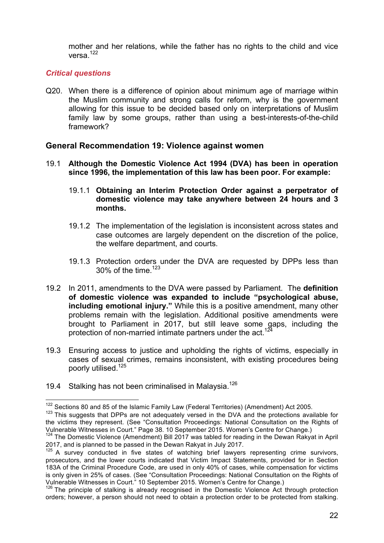mother and her relations, while the father has no rights to the child and vice versa<sup>122</sup>

#### *Critical questions*

Q20. When there is a difference of opinion about minimum age of marriage within the Muslim community and strong calls for reform, why is the government allowing for this issue to be decided based only on interpretations of Muslim family law by some groups, rather than using a best-interests-of-the-child framework?

#### **General Recommendation 19: Violence against women**

- 19.1 **Although the Domestic Violence Act 1994 (DVA) has been in operation since 1996, the implementation of this law has been poor. For example:**
	- 19.1.1 **Obtaining an Interim Protection Order against a perpetrator of domestic violence may take anywhere between 24 hours and 3 months.**
	- 19.1.2 The implementation of the legislation is inconsistent across states and case outcomes are largely dependent on the discretion of the police, the welfare department, and courts.
	- 19.1.3 Protection orders under the DVA are requested by DPPs less than 30% of the time.  $123$
- 19.2 In 2011, amendments to the DVA were passed by Parliament. The **definition of domestic violence was expanded to include "psychological abuse, including emotional injury."** While this is a positive amendment, many other problems remain with the legislation. Additional positive amendments were brought to Parliament in 2017, but still leave some gaps, including the protection of non-married intimate partners under the act.<sup>12</sup>
- 19.3 Ensuring access to justice and upholding the rights of victims, especially in cases of sexual crimes, remains inconsistent, with existing procedures being poorly utilised.<sup>125</sup>
- 19.4 Stalking has not been criminalised in Malaysia.<sup>126</sup>

<sup>&</sup>lt;sup>122</sup> Sections 80 and 85 of the Islamic Family Law (Federal Territories) (Amendment) Act 2005.

<sup>&</sup>lt;sup>123</sup> This suggests that DPPs are not adequately versed in the DVA and the protections available for the victims they represent. (See "Consultation Proceedings: National Consultation on the Rights of Vulnerable Witnesses in Court." Page 38. 10 September 2015. Women's Centre for Change.)

Vulnerable Witnesses in Court. Tage 38. 10 September 2018. We contribute the Dewan Rakyat in April<br><sup>124</sup> The Domestic Violence (Amendment) Bill 2017 was tabled for reading in the Dewan Rakyat in April 2017, and is planned to be passed in the Dewan Rakyat in July 2017.

 $125$  A survey conducted in five states of watching brief lawyers representing crime survivors, prosecutors, and the lower courts indicated that Victim Impact Statements, provided for in Section 183A of the Criminal Procedure Code, are used in only 40% of cases, while compensation for victims is only given in 25% of cases. (See "Consultation Proceedings: National Consultation on the Rights of Vulnerable Witnesses in Court." 10 September 2015. Women's Centre for Change.)

<sup>&</sup>lt;sup>126</sup> The principle of stalking is already recognised in the Domestic Violence Act through protection orders; however, a person should not need to obtain a protection order to be protected from stalking.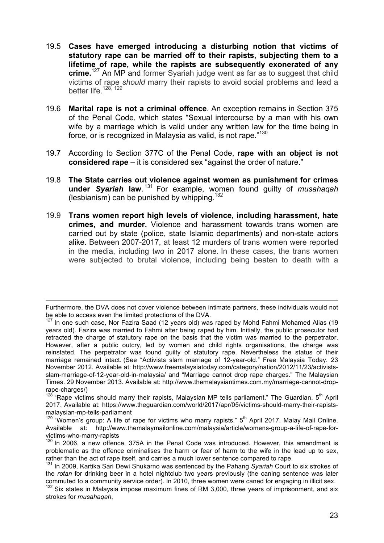- 19.5 **Cases have emerged introducing a disturbing notion that victims of statutory rape can be married off to their rapists, subjecting them to a lifetime of rape, while the rapists are subsequently exonerated of any crime.**<sup>127</sup> An MP and former Syariah judge went as far as to suggest that child victims of rape *should* marry their rapists to avoid social problems and lead a better life.<sup>128, 129</sup>
- 19.6 **Marital rape is not a criminal offence**. An exception remains in Section 375 of the Penal Code, which states "Sexual intercourse by a man with his own wife by a marriage which is valid under any written law for the time being in force, or is recognized in Malaysia as valid, is not rape."<sup>130</sup>
- 19.7 According to Section 377C of the Penal Code, **rape with an object is not considered rape** – it is considered sex "against the order of nature."
- 19.8 **The State carries out violence against women as punishment for crimes under** *Syariah* **law**. <sup>131</sup> For example, women found guilty of *musahaqah* (lesbianism) can be punished by whipping.<sup>132</sup>
- 19.9 **Trans women report high levels of violence, including harassment, hate crimes, and murder.** Violence and harassment towards trans women are carried out by state (police, state Islamic departments) and non-state actors alike. Between 2007-2017, at least 12 murders of trans women were reported in the media, including two in 2017 alone. In these cases, the trans women were subjected to brutal violence, including being beaten to death with a

<sup>&</sup>lt;u> 2002 - Andrea San Andrea San Andrea San Andrea San Andrea San Andrea San Andrea San Andrea San Andrea San An</u> Furthermore, the DVA does not cover violence between intimate partners, these individuals would not be able to access even the limited protections of the DVA.

<sup>&</sup>lt;sup>127</sup> In one such case, Nor Fazira Saad (12 years old) was raped by Mohd Fahmi Mohamed Alias (19 years old). Fazira was married to Fahmi after being raped by him. Initially, the public prosecutor had retracted the charge of statutory rape on the basis that the victim was married to the perpetrator. However, after a public outcry, led by women and child rights organisations, the charge was reinstated. The perpetrator was found guilty of statutory rape. Nevertheless the status of their marriage remained intact. (See "Activists slam marriage of 12-year-old." Free Malaysia Today. 23 November 2012. Available at: http://www.freemalaysiatoday.com/category/nation/2012/11/23/activistsslam-marriage-of-12-year-old-in-malaysia/ and "Marriage cannot drop rape charges." The Malaysian Times. 29 November 2013. Available at: http://www.themalaysiantimes.com.my/marriage-cannot-droprape-charges/)

<sup>&</sup>lt;sup>128</sup> "Rape victims should marry their rapists, Malaysian MP tells parliament." The Guardian. 5<sup>th</sup> April 2017. Available at: https://www.theguardian.com/world/2017/apr/05/victims-should-marry-their-rapistsmalaysian-mp-tells-parliament

 $129$  "Women's group: A life of rape for victims who marry rapists."  $5<sup>th</sup>$  April 2017. Malay Mail Online. Available at: http://www.themalaymailonline.com/malaysia/article/womens-group-a-life-of-rape-forvictims-who-marry-rapists

 $130$  In 2006, a new offence, 375A in the Penal Code was introduced. However, this amendment is problematic as the offence criminalises the harm or fear of harm to the wife in the lead up to sex, rather than the act of rape itself, and carries a much lower sentence compared to rape.

<sup>131</sup> In 2009, Kartika Sari Dewi Shukarno was sentenced by the Pahang *Syariah* Court to six strokes of the *rotan* for drinking beer in a hotel nightclub two years previously (the caning sentence was later commuted to a community service order). In 2010, three women were caned for engaging in illicit sex.

 $132$  Six states in Malaysia impose maximum fines of RM 3,000, three years of imprisonment, and six strokes for *musahaqah*,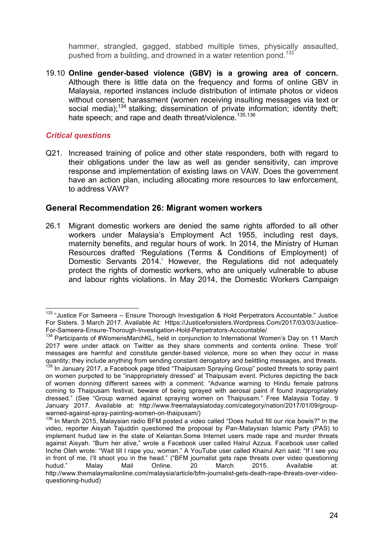hammer, strangled, gagged, stabbed multiple times, physically assaulted, pushed from a building, and drowned in a water retention pond.<sup>133</sup>

19.10 **Online gender-based violence (GBV) is a growing area of concern.** Although there is little data on the frequency and forms of online GBV in Malaysia, reported instances include distribution of intimate photos or videos without consent; harassment (women receiving insulting messages via text or social media);<sup>134</sup> stalking; dissemination of private information; identity theft; hate speech; and rape and death threat/violence.<sup>135,136</sup>

#### *Critical questions*

Q21. Increased training of police and other state responders, both with regard to their obligations under the law as well as gender sensitivity, can improve response and implementation of existing laws on VAW. Does the government have an action plan, including allocating more resources to law enforcement, to address VAW?

#### **General Recommendation 26: Migrant women workers**

26.1 Migrant domestic workers are denied the same rights afforded to all other workers under Malaysia's Employment Act 1955, including rest days, maternity benefits, and regular hours of work. In 2014, the Ministry of Human Resources drafted 'Regulations (Terms & Conditions of Employment) of Domestic Servants 2014.' However, the Regulations did not adequately protect the rights of domestic workers, who are uniquely vulnerable to abuse and labour rights violations. In May 2014, the Domestic Workers Campaign

<sup>&</sup>lt;sup>133</sup> "Justice For Sameera – Ensure Thorough Investigation & Hold Perpetrators Accountable." Justice For Sisters. 3 March 2017. Available At: Https://Justiceforsisters.Wordpress.Com/2017/03/03/Justice-For-Sameera-Ensure-Thorough-Investigation-Hold-Perpetrators-Accountable/

<sup>&</sup>lt;sup>134</sup> Participants of #WomensMarchKL, held in conjunction to International Women's Day on 11 March 2017 were under attack on Twitter as they share comments and contents online. These 'troll' messages are harmful and constitute gender-based violence, more so when they occur in mass quantity; they include anything from sending constant derogatory and belittling messages, and threats. <sup>135</sup> In January 2017, a Facebook page titled "Thaipusam Spraying Group" posted threats to spray paint

on women purpoted to be "inappropriately dressed" at Thaipusam event. Pictures depicting the back of women donning different sarees with a comment: "Advance warning to Hindu female patrons coming to Thaipusam festival, beware of being sprayed with aerosal paint if found inappropriately dressed." (See "Group warned against spraying women on Thaipusam." Free Malaysia Today. 9 January 2017. Available at: http://www.freemalaysiatoday.com/category/nation/2017/01/09/groupwarned-against-spray-painting-women-on-thaipusam/)

<sup>&</sup>lt;sup>136</sup> In March 2015, Malaysian radio BFM posted a video called "Does hudud fill our rice bowls?" In the video, reporter Aisyah Tajuddin questioned the proposal by Pan-Malaysian Islamic Party (PAS) to implement hudud law in the state of Kelantan.Some Internet users made rape and murder threats against Aisyah. "Burn her alive," wrote a Facebook user called Hairul Azzua. Facebook user called Inche Oleh wrote: "Wait till I rape you, woman." A YouTube user called Khairul Azri said: "If I see you in front of me, I'll shoot you in the head." ("BFM journalist gets rape threats over video questioning hudud." Malay Mail Online. 20 March 2015. Available at: http://www.themalaymailonline.com/malaysia/article/bfm-journalist-gets-death-rape-threats-over-videoquestioning-hudud)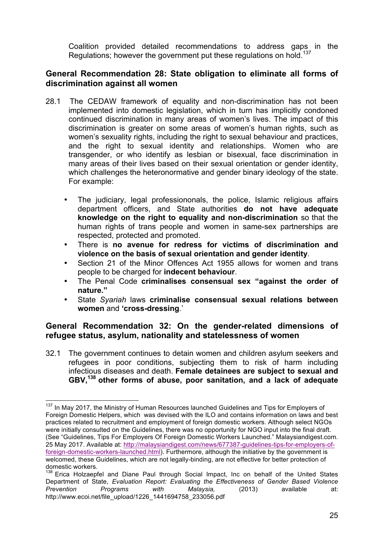Coalition provided detailed recommendations to address gaps in the Regulations; however the government put these regulations on hold.<sup>137</sup>

## **General Recommendation 28: State obligation to eliminate all forms of discrimination against all women**

- 28.1 The CEDAW framework of equality and non-discrimination has not been implemented into domestic legislation, which in turn has implicitly condoned continued discrimination in many areas of women's lives. The impact of this discrimination is greater on some areas of women's human rights, such as women's sexuality rights, including the right to sexual behaviour and practices, and the right to sexual identity and relationships. Women who are transgender, or who identify as lesbian or bisexual, face discrimination in many areas of their lives based on their sexual orientation or gender identity, which challenges the heteronormative and gender binary ideology of the state. For example:
	- The judiciary, legal professiononals, the police, Islamic religious affairs department officers, and State authorities **do not have adequate knowledge on the right to equality and non-discrimination** so that the human rights of trans people and women in same-sex partnerships are respected, protected and promoted.
	- There is **no avenue for redress for victims of discrimination and violence on the basis of sexual orientation and gender identity**.
	- Section 21 of the Minor Offences Act 1955 allows for women and trans people to be charged for **indecent behaviour**.
	- The Penal Code **criminalises consensual sex "against the order of nature."**
	- State *Syariah* laws **criminalise consensual sexual relations between women** and **'cross-dressing**.'

## **General Recommendation 32: On the gender-related dimensions of refugee status, asylum, nationality and statelessness of women**

32.1 The government continues to detain women and children asylum seekers and refugees in poor conditions, subjecting them to risk of harm including infectious diseases and death. **Female detainees are subject to sexual and GBV, <sup>138</sup> other forms of abuse, poor sanitation, and a lack of adequate** 

<sup>&</sup>lt;sup>137</sup> In May 2017, the Ministry of Human Resources launched Guidelines and Tips for Employers of Foreign Domestic Helpers, which was devised with the ILO and contains information on laws and best practices related to recruitment and employment of foreign domestic workers. Although select NGOs were initially consulted on the Guidelines, there was no opportunity for NGO input into the final draft. (See "Guidelines, Tips For Employers Of Foreign Domestic Workers Launched." Malaysiandigest.com. 25 May 2017. Available at: http://malaysiandigest.com/news/677387-guidelines-tips-for-employers-offoreign-domestic-workers-launched.html). Furthermore, although the initiative by the government is welcomed, these Guidelines, which are not legally-binding, are not effective for better protection of domestic workers.

<sup>&</sup>lt;sup>138</sup> Erica Holzaepfel and Diane Paul through Social Impact, Inc on behalf of the United States Department of State, *Evaluation Report: Evaluating the Effectiveness of Gender Based Violence Prevention Programs with Malaysia,* (2013) available at: http://www.ecoi.net/file\_upload/1226\_1441694758\_233056.pdf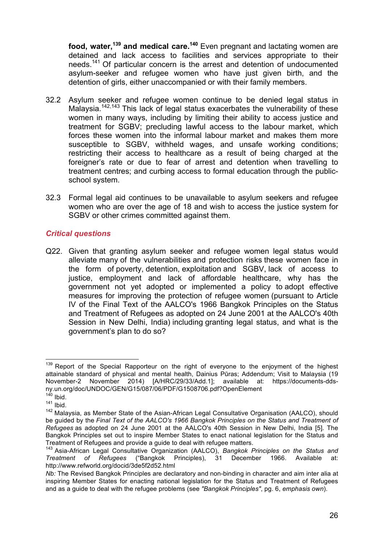**food, water,139 and medical care.140** Even pregnant and lactating women are detained and lack access to facilities and services appropriate to their needs.<sup>141</sup> Of particular concern is the arrest and detention of undocumented asylum-seeker and refugee women who have just given birth, and the detention of girls, either unaccompanied or with their family members.

- 32.2 Asylum seeker and refugee women continue to be denied legal status in Malaysia.<sup>142,143</sup> This lack of legal status exacerbates the vulnerability of these women in many ways, including by limiting their ability to access justice and treatment for SGBV; precluding lawful access to the labour market, which forces these women into the informal labour market and makes them more susceptible to SGBV, withheld wages, and unsafe working conditions; restricting their access to healthcare as a result of being charged at the foreigner's rate or due to fear of arrest and detention when travelling to treatment centres; and curbing access to formal education through the publicschool system.
- 32.3 Formal legal aid continues to be unavailable to asylum seekers and refugee women who are over the age of 18 and wish to access the justice system for SGBV or other crimes committed against them.

## *Critical questions*

Q22. Given that granting asylum seeker and refugee women legal status would alleviate many of the vulnerabilities and protection risks these women face in the form of poverty, detention, exploitation and SGBV, lack of access to justice, employment and lack of affordable healthcare, why has the government not yet adopted or implemented a policy to adopt effective measures for improving the protection of refugee women (pursuant to Article IV of the Final Text of the AALCO's 1966 Bangkok Principles on the Status and Treatment of Refugees as adopted on 24 June 2001 at the AALCO's 40th Session in New Delhi, India) including granting legal status, and what is the government's plan to do so?

<sup>&</sup>lt;sup>139</sup> Report of the Special Rapporteur on the right of everyone to the enjoyment of the highest attainable standard of physical and mental health, Dainius Pūras; Addendum; Visit to Malaysia (19 November-2 November 2014) [A/HRC/29/33/Add.1]; available at: https://documents-ddsny.un.org/doc/UNDOC/GEN/G15/087/06/PDF/G1508706.pdf?OpenElement

 $140$  Ibid.

 $141$  Ibid.

<sup>&</sup>lt;sup>142</sup> Malaysia, as Member State of the Asian-African Legal Consultative Organisation (AALCO), should be guided by the *Final Text of the AALCO's 1966 Bangkok Principles on the Status and Treatment of Refugees* as adopted on 24 June 2001 at the AALCO's 40th Session in New Delhi, India [5]. The Bangkok Principles set out to inspire Member States to enact national legislation for the Status and Treatment of Refugees and provide a guide to deal with refugee matters.

<sup>143</sup> Asia-African Legal Consultative Organization (AALCO), *Bangkok Principles on the Status and Treatment of Refugees* ("Bangkok Principles), 31 December 1966. Available at: http://www.refworld.org/docid/3de5f2d52.html

*Nb:* The Revised Bangkok Principles are declaratory and non-binding in character and aim inter alia at inspiring Member States for enacting national legislation for the Status and Treatment of Refugees and as a guide to deal with the refugee problems (see *"Bangkok Principles"*, pg. 6, *emphasis own*).